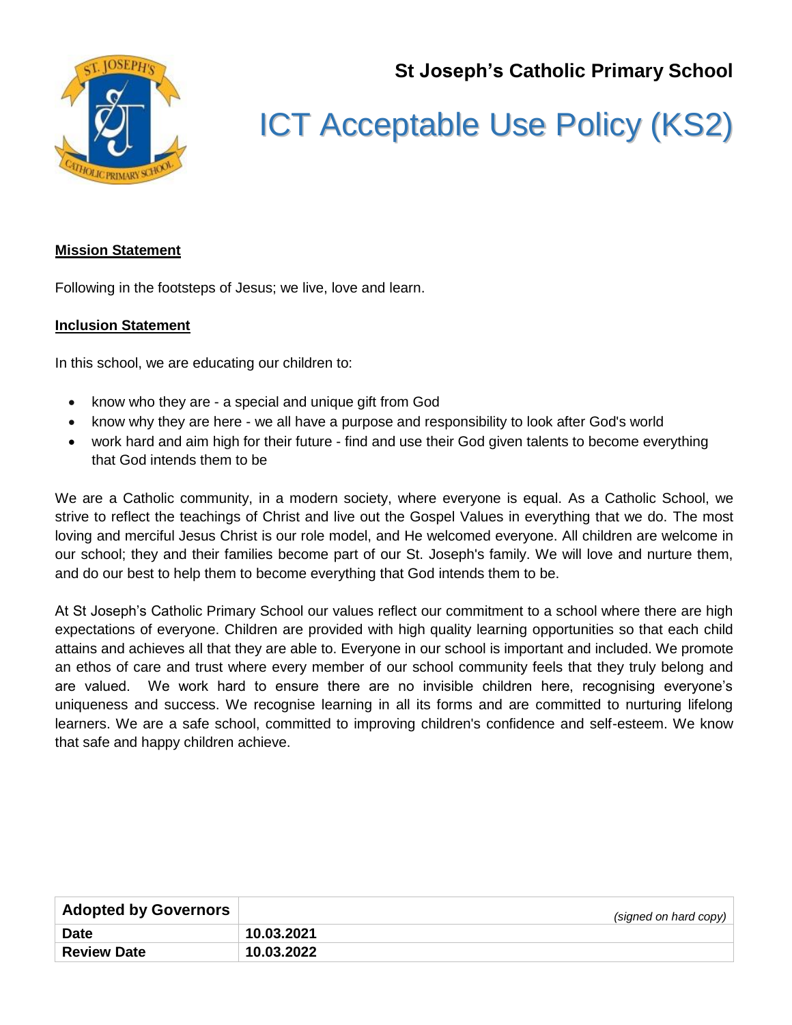**St Joseph's Catholic Primary School**



## ICT Acceptable Use Policy (KS2)

## **Mission Statement**

Following in the footsteps of Jesus; we live, love and learn.

## **Inclusion Statement**

In this school, we are educating our children to:

- know who they are a special and unique gift from God
- know why they are here we all have a purpose and responsibility to look after God's world
- work hard and aim high for their future find and use their God given talents to become everything that God intends them to be

We are a Catholic community, in a modern society, where everyone is equal. As a Catholic School, we strive to reflect the teachings of Christ and live out the Gospel Values in everything that we do. The most loving and merciful Jesus Christ is our role model, and He welcomed everyone. All children are welcome in our school; they and their families become part of our St. Joseph's family. We will love and nurture them, and do our best to help them to become everything that God intends them to be.

At St Joseph's Catholic Primary School our values reflect our commitment to a school where there are high expectations of everyone. Children are provided with high quality learning opportunities so that each child attains and achieves all that they are able to. Everyone in our school is important and included. We promote an ethos of care and trust where every member of our school community feels that they truly belong and are valued. We work hard to ensure there are no invisible children here, recognising everyone's uniqueness and success. We recognise learning in all its forms and are committed to nurturing lifelong learners. We are a safe school, committed to improving children's confidence and self-esteem. We know that safe and happy children achieve.

| <b>Adopted by Governors</b> | (signed on hard copy) |
|-----------------------------|-----------------------|
| <b>Date</b>                 | 10.03.2021            |
| <b>Review Date</b>          | 10.03.2022            |